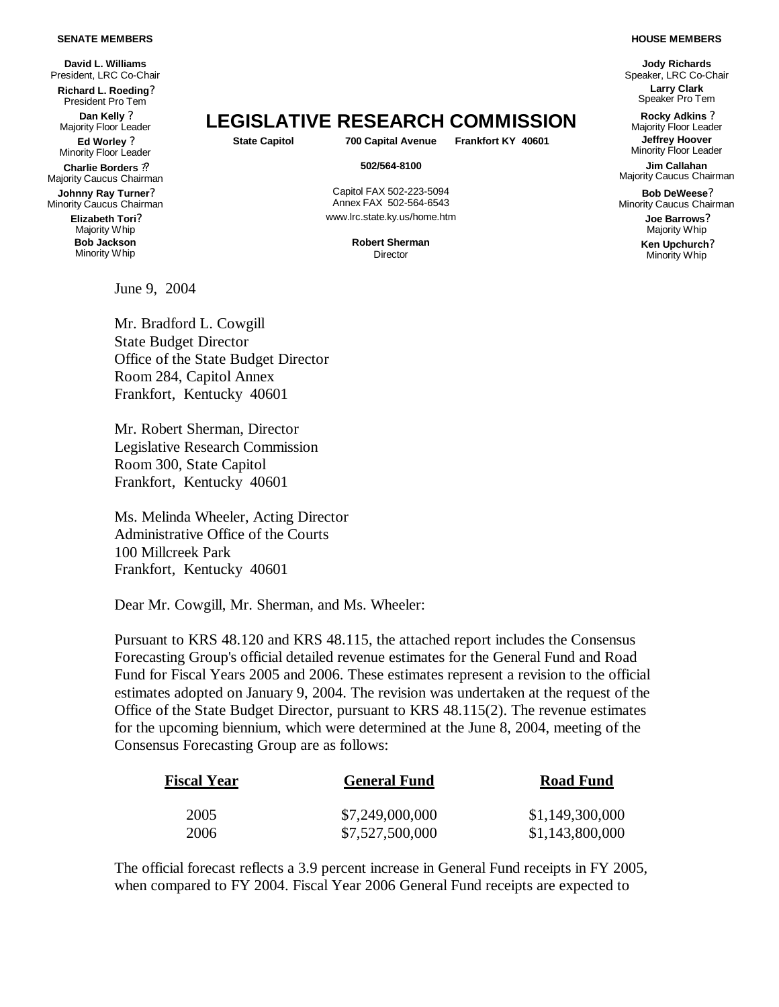## **SENATE MEMBERS**

**David L. Williams** President, LRC Co-Chair **Richard L. Roeding?** President Pro Tem **Dan Kelly ?**<br>Majority Floor Leader **Ed Worley ?** Minority Floor Leader **Charlie Borders ??** Majority Caucus Chairman **Johnny Ray Turner?** Minority Caucus Chairman **Elizabeth Tori?** Majority Whip **Bob Jackson** Minority Whip

June 9, 2004

Majority Floor Leader **LEGISLATIVE RESEARCH COMMISSION Rocky Adkins ?**

**State Capitol 700 Capital Avenue Frankfort KY 40601 Jeffrey Hoover**

Capitol FAX 502-223-5094 Annex FAX 502-564-6543 www.lrc.state.ky.us/home.htm **Joe Barrows?**

**Robert Sherman Director** 

**Jody Richards** Speaker, LRC Co-Chair **Larry Clark** Speaker Pro Tem

Majority Floor Leader Minority Floor Leader

**502/564-8100 Jim Callahan** Majority Caucus Chairman

> **Bob DeWeese?** Minority Caucus Chairman

> > Majority Whip **Ken Upchurch?** Minority Whip

Mr. Bradford L. Cowgill State Budget Director Office of the State Budget Director Room 284, Capitol Annex Frankfort, Kentucky 40601

Mr. Robert Sherman, Director Legislative Research Commission Room 300, State Capitol Frankfort, Kentucky 40601

Ms. Melinda Wheeler, Acting Director Administrative Office of the Courts 100 Millcreek Park Frankfort, Kentucky 40601

Dear Mr. Cowgill, Mr. Sherman, and Ms. Wheeler:

Pursuant to KRS 48.120 and KRS 48.115, the attached report includes the Consensus Forecasting Group's official detailed revenue estimates for the General Fund and Road Fund for Fiscal Years 2005 and 2006. These estimates represent a revision to the official estimates adopted on January 9, 2004. The revision was undertaken at the request of the Office of the State Budget Director, pursuant to KRS 48.115(2). The revenue estimates for the upcoming biennium, which were determined at the June 8, 2004, meeting of the Consensus Forecasting Group are as follows:

| <b>Fiscal Year</b> | <b>General Fund</b> | <b>Road Fund</b> |  |
|--------------------|---------------------|------------------|--|
| 2005               | \$7,249,000,000     | \$1,149,300,000  |  |
| 2006               | \$7,527,500,000     | \$1,143,800,000  |  |

The official forecast reflects a 3.9 percent increase in General Fund receipts in FY 2005, when compared to FY 2004. Fiscal Year 2006 General Fund receipts are expected to

## **HOUSE MEMBERS**